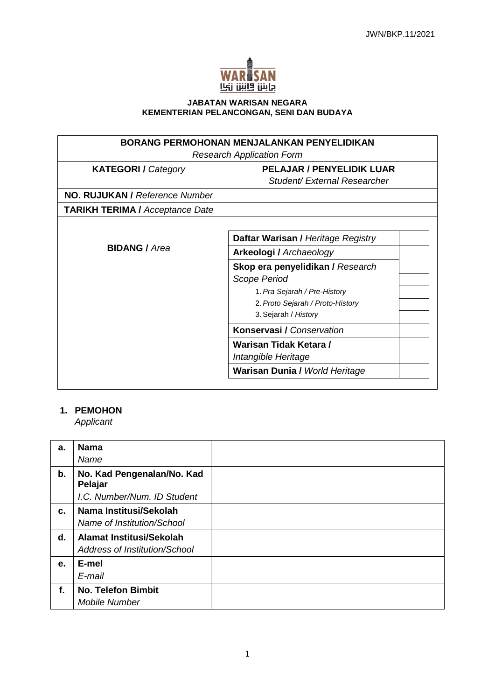

#### **JABATAN WARISAN NEGARA KEMENTERIAN PELANCONGAN, SENI DAN BUDAYA**

| <b>BORANG PERMOHONAN MENJALANKAN PENYELIDIKAN</b><br><b>Research Application Form</b> |                                                                                                                                                                                                               |  |
|---------------------------------------------------------------------------------------|---------------------------------------------------------------------------------------------------------------------------------------------------------------------------------------------------------------|--|
| <b>KATEGORI</b> / Category                                                            | <b>PELAJAR / PENYELIDIK LUAR</b><br>Student/External Researcher                                                                                                                                               |  |
| NO. RUJUKAN / Reference Number                                                        |                                                                                                                                                                                                               |  |
| <b>TARIKH TERIMA / Acceptance Date</b>                                                |                                                                                                                                                                                                               |  |
| <b>BIDANG / Area</b>                                                                  | Daftar Warisan / Heritage Registry<br>Arkeologi / Archaeology<br>Skop era penyelidikan / Research<br>Scope Period<br>1. Pra Sejarah / Pre-History<br>2. Proto Sejarah / Proto-History<br>3. Sejarah / History |  |
|                                                                                       | <b>Konservasi / Conservation</b><br>Warisan Tidak Ketara /<br>Intangible Heritage                                                                                                                             |  |
|                                                                                       | <b>Warisan Dunia / World Heritage</b>                                                                                                                                                                         |  |

# **1. PEMOHON**

*Applicant*

| a.            | <b>Nama</b>                                               |  |
|---------------|-----------------------------------------------------------|--|
|               | Name                                                      |  |
| $\mathbf b$ . | No. Kad Pengenalan/No. Kad<br>Pelajar                     |  |
|               | I.C. Number/Num. ID Student                               |  |
| C.            | Nama Institusi/Sekolah<br>Name of Institution/School      |  |
| d.            | Alamat Institusi/Sekolah<br>Address of Institution/School |  |
| e.            | E-mel                                                     |  |
|               | E-mail                                                    |  |
| f.            | <b>No. Telefon Bimbit</b><br>Mobile Number                |  |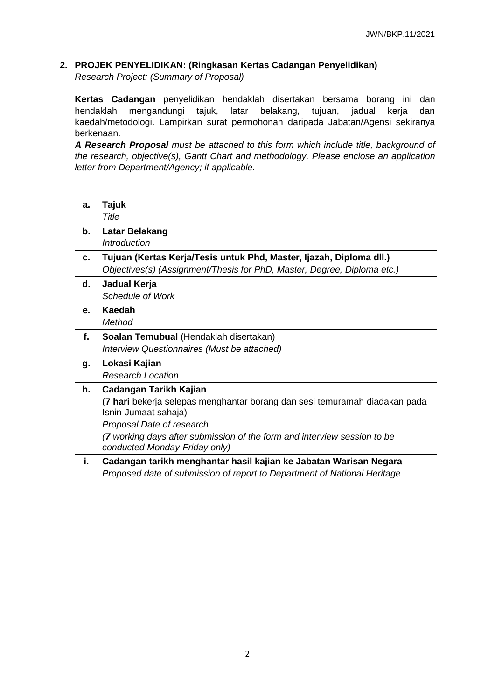### **2. PROJEK PENYELIDIKAN: (Ringkasan Kertas Cadangan Penyelidikan)**

*Research Project: (Summary of Proposal)*

**Kertas Cadangan** penyelidikan hendaklah disertakan bersama borang ini dan hendaklah mengandungi tajuk, latar belakang, tujuan, jadual kerja dan kaedah/metodologi. Lampirkan surat permohonan daripada Jabatan/Agensi sekiranya berkenaan.

*A Research Proposal must be attached to this form which include title, background of the research, objective(s), Gantt Chart and methodology. Please enclose an application letter from Department/Agency; if applicable.*

| a. | Tajuk                                                                                                     |  |
|----|-----------------------------------------------------------------------------------------------------------|--|
|    | Title                                                                                                     |  |
| b. | <b>Latar Belakang</b>                                                                                     |  |
|    | <b>Introduction</b>                                                                                       |  |
| c. | Tujuan (Kertas Kerja/Tesis untuk Phd, Master, Ijazah, Diploma dll.)                                       |  |
|    | Objectives(s) (Assignment/Thesis for PhD, Master, Degree, Diploma etc.)                                   |  |
| d. | Jadual Kerja                                                                                              |  |
|    | Schedule of Work                                                                                          |  |
| е. | Kaedah                                                                                                    |  |
|    | Method                                                                                                    |  |
| f. | Soalan Temubual (Hendaklah disertakan)                                                                    |  |
|    | Interview Questionnaires (Must be attached)                                                               |  |
| g. | Lokasi Kajian                                                                                             |  |
|    | <b>Research Location</b>                                                                                  |  |
| h. | Cadangan Tarikh Kajian                                                                                    |  |
|    | (7 hari bekerja selepas menghantar borang dan sesi temuramah diadakan pada                                |  |
|    | Isnin-Jumaat sahaja)                                                                                      |  |
|    | Proposal Date of research                                                                                 |  |
|    | (7 working days after submission of the form and interview session to be<br>conducted Monday-Friday only) |  |
| i. | Cadangan tarikh menghantar hasil kajian ke Jabatan Warisan Negara                                         |  |
|    | Proposed date of submission of report to Department of National Heritage                                  |  |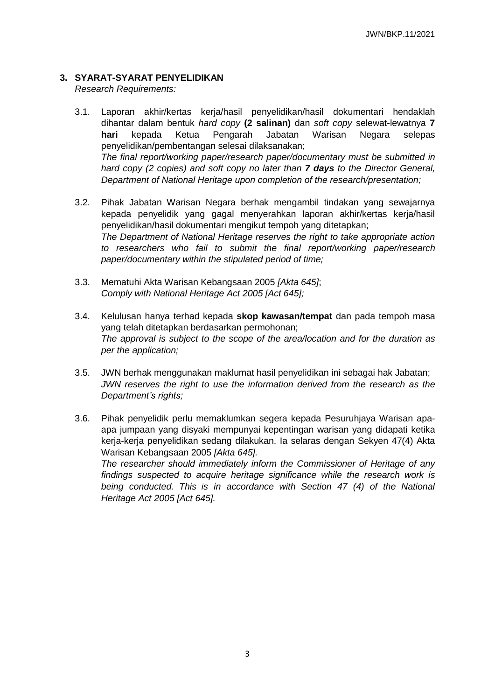## **3. SYARAT-SYARAT PENYELIDIKAN**

*Research Requirements:* 

- 3.1. Laporan akhir/kertas kerja/hasil penyelidikan/hasil dokumentari hendaklah dihantar dalam bentuk *hard copy* **(2 salinan)** dan *soft copy* selewat-lewatnya **7 hari** kepada Ketua Pengarah Jabatan Warisan Negara selepas penyelidikan/pembentangan selesai dilaksanakan; *The final report/working paper/research paper/documentary must be submitted in hard copy (2 copies) and soft copy no later than 7 days to the Director General, Department of National Heritage upon completion of the research/presentation;*
- 3.2. Pihak Jabatan Warisan Negara berhak mengambil tindakan yang sewajarnya kepada penyelidik yang gagal menyerahkan laporan akhir/kertas kerja/hasil penyelidikan/hasil dokumentari mengikut tempoh yang ditetapkan; *The Department of National Heritage reserves the right to take appropriate action to researchers who fail to submit the final report/working paper/research paper/documentary within the stipulated period of time;*
- 3.3. Mematuhi Akta Warisan Kebangsaan 2005 *[Akta 645]*; *Comply with National Heritage Act 2005 [Act 645];*

*Heritage Act 2005 [Act 645].*

- 3.4. Kelulusan hanya terhad kepada **skop kawasan/tempat** dan pada tempoh masa yang telah ditetapkan berdasarkan permohonan; *The approval is subject to the scope of the area/location and for the duration as per the application;*
- 3.5. JWN berhak menggunakan maklumat hasil penyelidikan ini sebagai hak Jabatan; *JWN reserves the right to use the information derived from the research as the Department's rights;*
- 3.6. Pihak penyelidik perlu memaklumkan segera kepada Pesuruhjaya Warisan apaapa jumpaan yang disyaki mempunyai kepentingan warisan yang didapati ketika kerja-kerja penyelidikan sedang dilakukan. Ia selaras dengan Sekyen 47(4) Akta Warisan Kebangsaan 2005 *[Akta 645]. The researcher should immediately inform the Commissioner of Heritage of any findings suspected to acquire heritage significance while the research work is being conducted. This is in accordance with Section 47 (4) of the National*